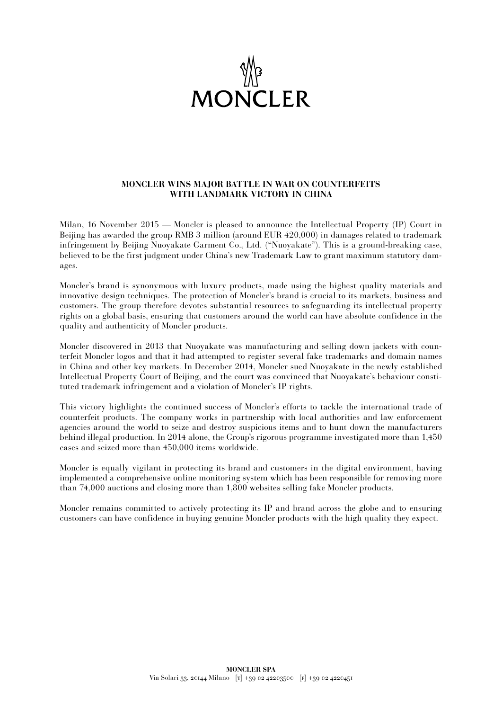

## **MONCLER WINS MAJOR BATTLE IN WAR ON COUNTERFEITS WITH LANDMARK VICTORY IN CHINA**

Milan, 16 November 2015 — Moncler is pleased to announce the Intellectual Property (IP) Court in Beijing has awarded the group RMB 3 million (around EUR 420,000) in damages related to trademark infringement by Beijing Nuoyakate Garment Co., Ltd. ("Nuoyakate"). This is a ground-breaking case, believed to be the first judgment under China's new Trademark Law to grant maximum statutory damages.

Moncler's brand is synonymous with luxury products, made using the highest quality materials and innovative design techniques. The protection of Moncler's brand is crucial to its markets, business and customers. The group therefore devotes substantial resources to safeguarding its intellectual property rights on a global basis, ensuring that customers around the world can have absolute confidence in the quality and authenticity of Moncler products.

Moncler discovered in 2013 that Nuoyakate was manufacturing and selling down jackets with counterfeit Moncler logos and that it had attempted to register several fake trademarks and domain names in China and other key markets. In December 2014, Moncler sued Nuoyakate in the newly established Intellectual Property Court of Beijing, and the court was convinced that Nuoyakate's behaviour constituted trademark infringement and a violation of Moncler's IP rights.

This victory highlights the continued success of Moncler's efforts to tackle the international trade of counterfeit products. The company works in partnership with local authorities and law enforcement agencies around the world to seize and destroy suspicious items and to hunt down the manufacturers behind illegal production. In 2014 alone, the Group's rigorous programme investigated more than 1,450 cases and seized more than 450,000 items worldwide.

Moncler is equally vigilant in protecting its brand and customers in the digital environment, having implemented a comprehensive online monitoring system which has been responsible for removing more than 74,000 auctions and closing more than 1,800 websites selling fake Moncler products.

Moncler remains committed to actively protecting its IP and brand across the globe and to ensuring customers can have confidence in buying genuine Moncler products with the high quality they expect.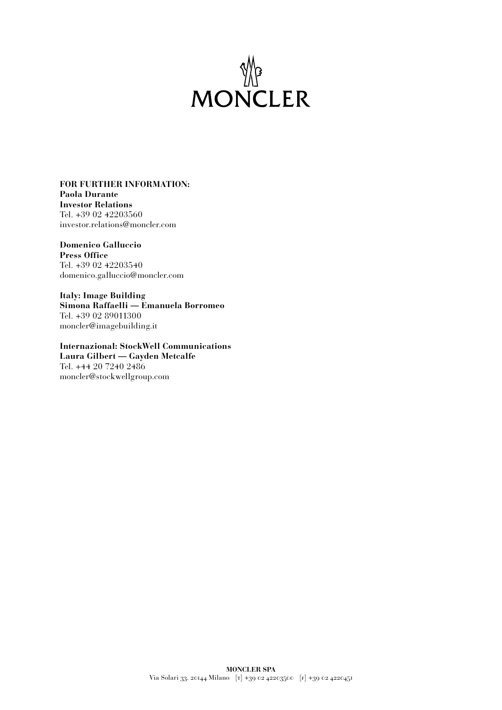

## **FOR FURTHER INFORMATION: Paola Durante Investor Relations** Tel. +39 02 42203560 investor.relations@moncler.com

**Domenico Galluccio Press Office** Tel. +39 02 42203540 domenico.galluccio@moncler.com

**Italy: Image Building Simona Raffaelli — Emanuela Borromeo** Tel. +39 02 89011300 moncler@imagebuilding.it

**Internazional: StockWell Communications Laura Gilbert — Gayden Metcalfe** Tel. +44 20 7240 2486 moncler@stockwellgroup.com